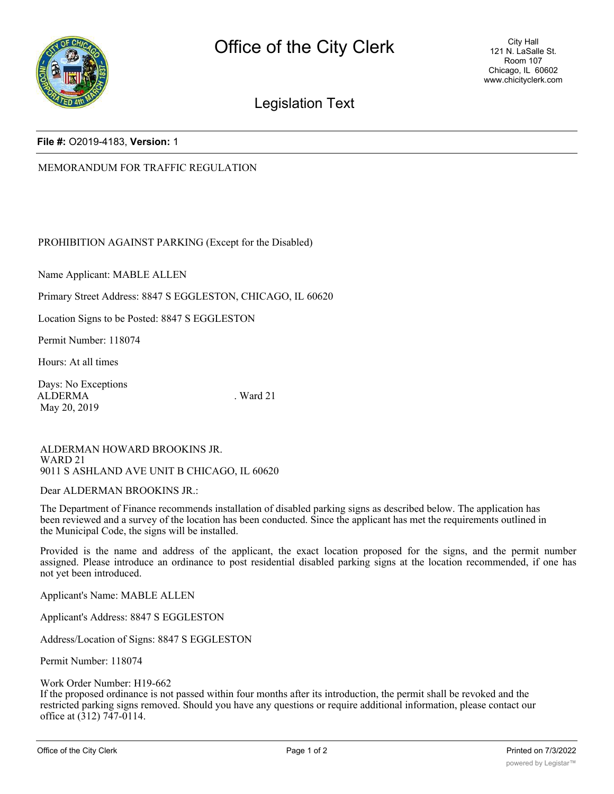

## Legislation Text

## **File #:** O2019-4183, **Version:** 1

MEMORANDUM FOR TRAFFIC REGULATION

PROHIBITION AGAINST PARKING (Except for the Disabled)

Name Applicant: MABLE ALLEN

Primary Street Address: 8847 S EGGLESTON, CHICAGO, IL 60620

Location Signs to be Posted: 8847 S EGGLESTON

Permit Number: 118074

Hours: At all times

Days: No Exceptions ALDERMA . Ward 21 May 20, 2019

ALDERMAN HOWARD BROOKINS JR. WARD 21 9011 S ASHLAND AVE UNIT B CHICAGO, IL 60620

Dear ALDERMAN BROOKINS JR.:

The Department of Finance recommends installation of disabled parking signs as described below. The application has been reviewed and a survey of the location has been conducted. Since the applicant has met the requirements outlined in the Municipal Code, the signs will be installed.

Provided is the name and address of the applicant, the exact location proposed for the signs, and the permit number assigned. Please introduce an ordinance to post residential disabled parking signs at the location recommended, if one has not yet been introduced.

Applicant's Name: MABLE ALLEN

Applicant's Address: 8847 S EGGLESTON

Address/Location of Signs: 8847 S EGGLESTON

Permit Number: 118074

## Work Order Number: H19-662

If the proposed ordinance is not passed within four months after its introduction, the permit shall be revoked and the restricted parking signs removed. Should you have any questions or require additional information, please contact our office at (312) 747-0114.